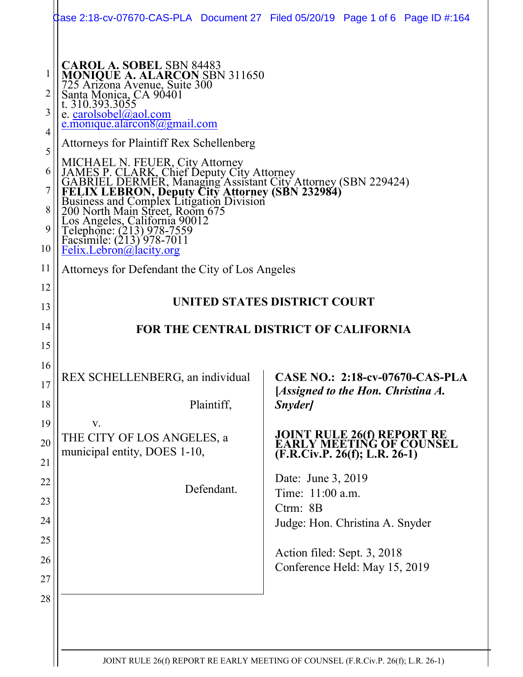|                                                 | 0] Case 2:18-cv-07670-CAS-PLA Document 27 Filed 05/20/19 Page 1 of 6 Page ID #:164                                                                                                                                                                                                                                                                                                                                                                                                                                                                                                                                                   |                                                                                                   |  |
|-------------------------------------------------|--------------------------------------------------------------------------------------------------------------------------------------------------------------------------------------------------------------------------------------------------------------------------------------------------------------------------------------------------------------------------------------------------------------------------------------------------------------------------------------------------------------------------------------------------------------------------------------------------------------------------------------|---------------------------------------------------------------------------------------------------|--|
| 1<br>2<br>3<br>4<br>5<br>6<br>7<br>8<br>9<br>10 | <b>CAROL A. SOBEL SBN 84483</b><br>MONIQUE A. ALARCON SBN 311650<br>725 Arizona Avenue, Suite 300<br>Santa Monica, CA 90401<br>t. 310.393.3055<br>e. carolsobel@aol.com<br>e.monique.alarcon $8(a)$ gmail.com<br><b>Attorneys for Plaintiff Rex Schellenberg</b><br>MICHAEL N. FEUER, City Attorney<br>JAMES P. CLARK, Chief Deputy City Attorney<br>GABRIEL DERMER, Managing Assistant City Attorney (SBN 229424)<br>FELIX LEBRON, Deputy City Attorney (SBN 232984)<br>Business and Complex Litigation Divis<br>Los Angeles, California 90012<br>Telephone: (213) 978-7559<br>Facsimile: (213) 978-7011<br>Felix.Lebron@lacity.org |                                                                                                   |  |
| 11                                              | Attorneys for Defendant the City of Los Angeles                                                                                                                                                                                                                                                                                                                                                                                                                                                                                                                                                                                      |                                                                                                   |  |
| 12<br>13                                        | UNITED STATES DISTRICT COURT                                                                                                                                                                                                                                                                                                                                                                                                                                                                                                                                                                                                         |                                                                                                   |  |
| 14                                              | FOR THE CENTRAL DISTRICT OF CALIFORNIA                                                                                                                                                                                                                                                                                                                                                                                                                                                                                                                                                                                               |                                                                                                   |  |
| 15                                              |                                                                                                                                                                                                                                                                                                                                                                                                                                                                                                                                                                                                                                      |                                                                                                   |  |
| 16<br>17<br>18                                  | REX SCHELLENBERG, an individual<br>Plaintiff,                                                                                                                                                                                                                                                                                                                                                                                                                                                                                                                                                                                        | <b>CASE NO.: 2:18-cv-07670-CAS-PLA</b><br>[Assigned to the Hon. Christina A.<br>Snyder]           |  |
| 19                                              | V.                                                                                                                                                                                                                                                                                                                                                                                                                                                                                                                                                                                                                                   |                                                                                                   |  |
| 20                                              |                                                                                                                                                                                                                                                                                                                                                                                                                                                                                                                                                                                                                                      |                                                                                                   |  |
|                                                 | THE CITY OF LOS ANGELES, a<br>municipal entity, DOES 1-10,                                                                                                                                                                                                                                                                                                                                                                                                                                                                                                                                                                           | <b>JOINT RULE 26(f) REPORT RE<br/>EARLY MEETING OF COUNSEL</b><br>$(F.R.Civ.P. 26(f); L.R. 26-1)$ |  |
| 21<br>22                                        |                                                                                                                                                                                                                                                                                                                                                                                                                                                                                                                                                                                                                                      | Date: June 3, 2019                                                                                |  |
| 23                                              | Defendant.                                                                                                                                                                                                                                                                                                                                                                                                                                                                                                                                                                                                                           | Time: 11:00 a.m.                                                                                  |  |
| 24                                              |                                                                                                                                                                                                                                                                                                                                                                                                                                                                                                                                                                                                                                      | Ctrm: 8B                                                                                          |  |
| 25                                              |                                                                                                                                                                                                                                                                                                                                                                                                                                                                                                                                                                                                                                      | Judge: Hon. Christina A. Snyder                                                                   |  |
| 26                                              |                                                                                                                                                                                                                                                                                                                                                                                                                                                                                                                                                                                                                                      | Action filed: Sept. 3, 2018                                                                       |  |
| 27                                              |                                                                                                                                                                                                                                                                                                                                                                                                                                                                                                                                                                                                                                      | Conference Held: May 15, 2019                                                                     |  |
| 28                                              |                                                                                                                                                                                                                                                                                                                                                                                                                                                                                                                                                                                                                                      |                                                                                                   |  |
|                                                 |                                                                                                                                                                                                                                                                                                                                                                                                                                                                                                                                                                                                                                      |                                                                                                   |  |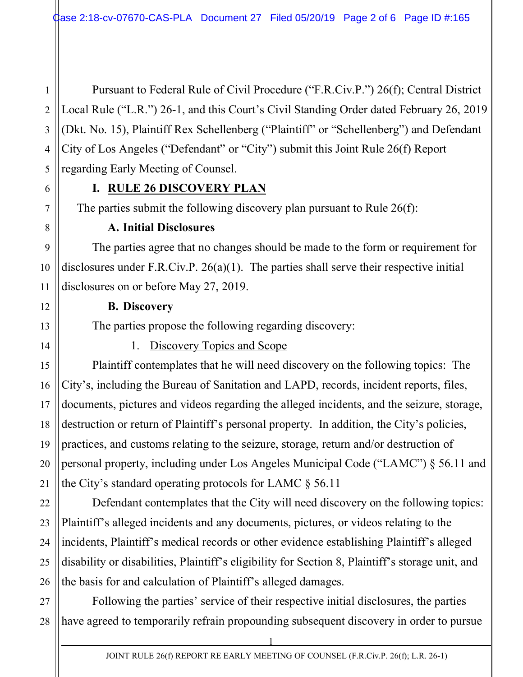Pursuant to Federal Rule of Civil Procedure ("F.R.Civ.P.") 26(f); Central District Local Rule ("L.R.") 26-1, and this Court's Civil Standing Order dated February 26, 2019 (Dkt. No. 15), Plaintiff Rex Schellenberg ("Plaintiff" or "Schellenberg") and Defendant City of Los Angeles ("Defendant" or "City") submit this Joint Rule 26(f) Report regarding Early Meeting of Counsel.

### **I. RULE 26 DISCOVERY PLAN**

The parties submit the following discovery plan pursuant to Rule 26(f):

#### **A. Initial Disclosures**

The parties agree that no changes should be made to the form or requirement for disclosures under F.R.Civ.P. 26(a)(1). The parties shall serve their respective initial disclosures on or before May 27, 2019.

#### **B. Discovery**

The parties propose the following regarding discovery:

1. Discovery Topics and Scope

Plaintiff contemplates that he will need discovery on the following topics: The City's, including the Bureau of Sanitation and LAPD, records, incident reports, files, documents, pictures and videos regarding the alleged incidents, and the seizure, storage, destruction or return of Plaintiff's personal property. In addition, the City's policies, practices, and customs relating to the seizure, storage, return and/or destruction of personal property, including under Los Angeles Municipal Code ("LAMC") § 56.11 and the City's standard operating protocols for LAMC § 56.11

Defendant contemplates that the City will need discovery on the following topics: Plaintiff's alleged incidents and any documents, pictures, or videos relating to the incidents, Plaintiff's medical records or other evidence establishing Plaintiff's alleged disability or disabilities, Plaintiff's eligibility for Section 8, Plaintiff's storage unit, and the basis for and calculation of Plaintiff's alleged damages.

Following the parties' service of their respective initial disclosures, the parties have agreed to temporarily refrain propounding subsequent discovery in order to pursue

1

1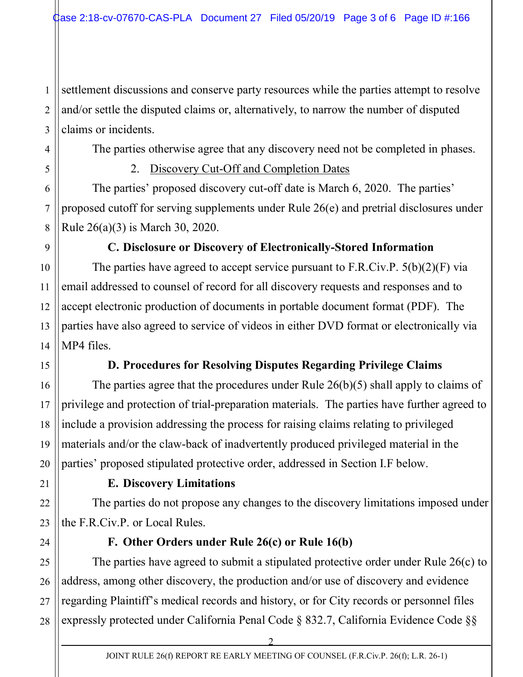1 2 3 settlement discussions and conserve party resources while the parties attempt to resolve and/or settle the disputed claims or, alternatively, to narrow the number of disputed claims or incidents.

The parties otherwise agree that any discovery need not be completed in phases.

2. Discovery Cut-Off and Completion Dates

The parties' proposed discovery cut-off date is March 6, 2020. The parties' proposed cutoff for serving supplements under Rule 26(e) and pretrial disclosures under Rule 26(a)(3) is March 30, 2020.

# **C. Disclosure or Discovery of Electronically-Stored Information**

The parties have agreed to accept service pursuant to F.R.Civ.P. 5(b)(2)(F) via email addressed to counsel of record for all discovery requests and responses and to accept electronic production of documents in portable document format (PDF). The parties have also agreed to service of videos in either DVD format or electronically via MP4 files.

# **D. Procedures for Resolving Disputes Regarding Privilege Claims**

The parties agree that the procedures under Rule 26(b)(5) shall apply to claims of privilege and protection of trial-preparation materials. The parties have further agreed to include a provision addressing the process for raising claims relating to privileged materials and/or the claw-back of inadvertently produced privileged material in the parties' proposed stipulated protective order, addressed in Section I.F below.

4

5

6

7

8

9

10

11

12

13

14

15

16

17

18

19

20

21

22

23

## **E. Discovery Limitations**

The parties do not propose any changes to the discovery limitations imposed under the F.R.Civ.P. or Local Rules.

24

# **F. Other Orders under Rule 26(c) or Rule 16(b)**

25 26 27 28 The parties have agreed to submit a stipulated protective order under Rule 26(c) to address, among other discovery, the production and/or use of discovery and evidence regarding Plaintiff's medical records and history, or for City records or personnel files expressly protected under California Penal Code § 832.7, California Evidence Code §§

2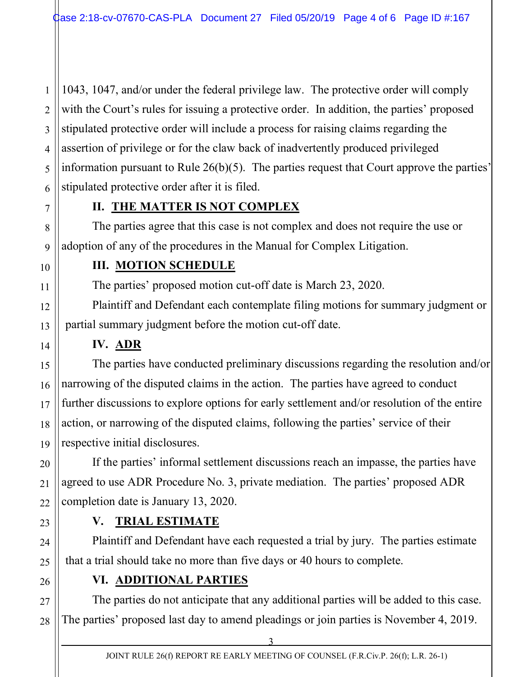1043, 1047, and/or under the federal privilege law. The protective order will comply with the Court's rules for issuing a protective order. In addition, the parties' proposed stipulated protective order will include a process for raising claims regarding the assertion of privilege or for the claw back of inadvertently produced privileged information pursuant to Rule  $26(b)(5)$ . The parties request that Court approve the parties' stipulated protective order after it is filed.

# **II. THE MATTER IS NOT COMPLEX**

The parties agree that this case is not complex and does not require the use or adoption of any of the procedures in the Manual for Complex Litigation.

# **III. MOTION SCHEDULE**

The parties' proposed motion cut-off date is March 23, 2020.

Plaintiff and Defendant each contemplate filing motions for summary judgment or partial summary judgment before the motion cut-off date.

## **IV. ADR**

The parties have conducted preliminary discussions regarding the resolution and/or narrowing of the disputed claims in the action. The parties have agreed to conduct further discussions to explore options for early settlement and/or resolution of the entire action, or narrowing of the disputed claims, following the parties' service of their respective initial disclosures.

If the parties' informal settlement discussions reach an impasse, the parties have agreed to use ADR Procedure No. 3, private mediation. The parties' proposed ADR completion date is January 13, 2020.

# **V. TRIAL ESTIMATE**

Plaintiff and Defendant have each requested a trial by jury. The parties estimate that a trial should take no more than five days or 40 hours to complete.

# **VI. ADDITIONAL PARTIES**

The parties do not anticipate that any additional parties will be added to this case. The parties' proposed last day to amend pleadings or join parties is November 4, 2019.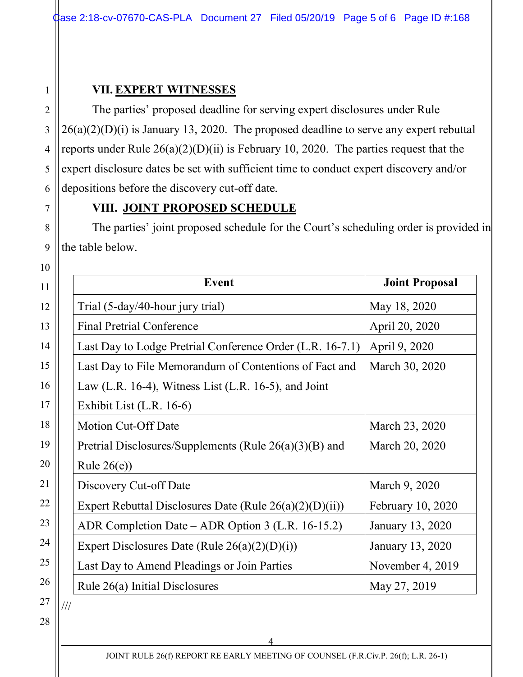### **VII. EXPERT WITNESSES**

The parties' proposed deadline for serving expert disclosures under Rule  $26(a)(2)(D)(i)$  is January 13, 2020. The proposed deadline to serve any expert rebuttal reports under Rule  $26(a)(2)(D)(ii)$  is February 10, 2020. The parties request that the expert disclosure dates be set with sufficient time to conduct expert discovery and/or depositions before the discovery cut-off date.

## **VIII. JOINT PROPOSED SCHEDULE**

The parties' joint proposed schedule for the Court's scheduling order is provided in the table below.

| Event                                                      | <b>Joint Proposal</b> |
|------------------------------------------------------------|-----------------------|
| Trial (5-day/40-hour jury trial)                           | May 18, 2020          |
| <b>Final Pretrial Conference</b>                           | April 20, 2020        |
| Last Day to Lodge Pretrial Conference Order (L.R. 16-7.1)  | April 9, 2020         |
| Last Day to File Memorandum of Contentions of Fact and     | March 30, 2020        |
| Law (L.R. 16-4), Witness List (L.R. 16-5), and Joint       |                       |
| Exhibit List (L.R. 16-6)                                   |                       |
| <b>Motion Cut-Off Date</b>                                 | March 23, 2020        |
| Pretrial Disclosures/Supplements (Rule $26(a)(3)(B)$ and   | March 20, 2020        |
| Rule $26(e)$                                               |                       |
| Discovery Cut-off Date                                     | March 9, 2020         |
| Expert Rebuttal Disclosures Date (Rule $26(a)(2)(D)(ii)$ ) | February 10, 2020     |
| ADR Completion Date – ADR Option 3 (L.R. 16-15.2)          | January 13, 2020      |
| Expert Disclosures Date (Rule $26(a)(2)(D)(i)$ )           | January 13, 2020      |
| Last Day to Amend Pleadings or Join Parties                | November 4, 2019      |
| Rule 26(a) Initial Disclosures                             | May 27, 2019          |

26 27 28

1

2

3

4

5

6

7

8

9

4